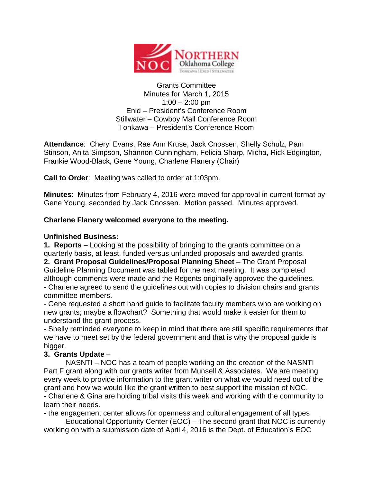

Grants Committee Minutes for March 1, 2015  $1:00 - 2:00$  pm Enid – President's Conference Room Stillwater – Cowboy Mall Conference Room Tonkawa – President's Conference Room

**Attendance**: Cheryl Evans, Rae Ann Kruse, Jack Cnossen, Shelly Schulz, Pam Stinson, Anita Simpson, Shannon Cunningham, Felicia Sharp, Micha, Rick Edgington, Frankie Wood-Black, Gene Young, Charlene Flanery (Chair)

**Call to Order**: Meeting was called to order at 1:03pm.

**Minutes**: Minutes from February 4, 2016 were moved for approval in current format by Gene Young, seconded by Jack Cnossen. Motion passed. Minutes approved.

## **Charlene Flanery welcomed everyone to the meeting.**

## **Unfinished Business:**

**1. Reports** – Looking at the possibility of bringing to the grants committee on a quarterly basis, at least, funded versus unfunded proposals and awarded grants.

**2. Grant Proposal Guidelines/Proposal Planning Sheet** – The Grant Proposal Guideline Planning Document was tabled for the next meeting. It was completed although comments were made and the Regents originally approved the guidelines.

- Charlene agreed to send the guidelines out with copies to division chairs and grants committee members.

- Gene requested a short hand guide to facilitate faculty members who are working on new grants; maybe a flowchart? Something that would make it easier for them to understand the grant process.

- Shelly reminded everyone to keep in mind that there are still specific requirements that we have to meet set by the federal government and that is why the proposal guide is bigger.

## **3. Grants Update** –

NASNTI – NOC has a team of people working on the creation of the NASNTI Part F grant along with our grants writer from Munsell & Associates. We are meeting every week to provide information to the grant writer on what we would need out of the grant and how we would like the grant written to best support the mission of NOC.

- Charlene & Gina are holding tribal visits this week and working with the community to learn their needs.

- the engagement center allows for openness and cultural engagement of all types

Educational Opportunity Center (EOC) – The second grant that NOC is currently working on with a submission date of April 4, 2016 is the Dept. of Education's EOC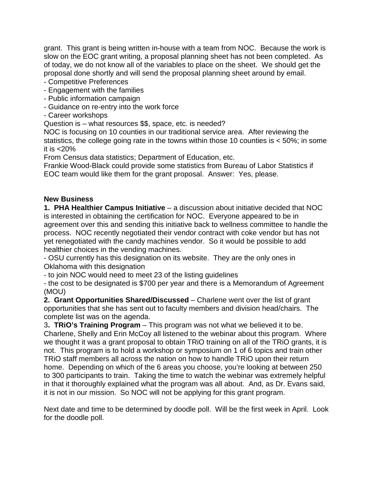grant. This grant is being written in-house with a team from NOC. Because the work is slow on the EOC grant writing, a proposal planning sheet has not been completed. As of today, we do not know all of the variables to place on the sheet. We should get the proposal done shortly and will send the proposal planning sheet around by email.

- Competitive Preferences
- Engagement with the families
- Public information campaign
- Guidance on re-entry into the work force
- Career workshops

Question is – what resources \$\$, space, etc. is needed?

NOC is focusing on 10 counties in our traditional service area. After reviewing the statistics, the college going rate in the towns within those 10 counties is < 50%; in some it is  $<$ 20%

From Census data statistics; Department of Education, etc.

Frankie Wood-Black could provide some statistics from Bureau of Labor Statistics if EOC team would like them for the grant proposal. Answer: Yes, please.

## **New Business**

**1. PHA Healthier Campus Initiative** – a discussion about initiative decided that NOC is interested in obtaining the certification for NOC. Everyone appeared to be in agreement over this and sending this initiative back to wellness committee to handle the process. NOC recently negotiated their vendor contract with coke vendor but has not yet renegotiated with the candy machines vendor. So it would be possible to add healthier choices in the vending machines.

- OSU currently has this designation on its website. They are the only ones in Oklahoma with this designation

- to join NOC would need to meet 23 of the listing guidelines

- the cost to be designated is \$700 per year and there is a Memorandum of Agreement (MOU)

**2. Grant Opportunities Shared/Discussed** – Charlene went over the list of grant opportunities that she has sent out to faculty members and division head/chairs. The complete list was on the agenda.

3**. TRiO's Training Program** – This program was not what we believed it to be. Charlene, Shelly and Erin McCoy all listened to the webinar about this program. Where we thought it was a grant proposal to obtain TRiO training on all of the TRiO grants, it is not. This program is to hold a workshop or symposium on 1 of 6 topics and train other TRiO staff members all across the nation on how to handle TRiO upon their return home. Depending on which of the 6 areas you choose, you're looking at between 250 to 300 participants to train. Taking the time to watch the webinar was extremely helpful in that it thoroughly explained what the program was all about. And, as Dr. Evans said, it is not in our mission. So NOC will not be applying for this grant program.

Next date and time to be determined by doodle poll. Will be the first week in April. Look for the doodle poll.